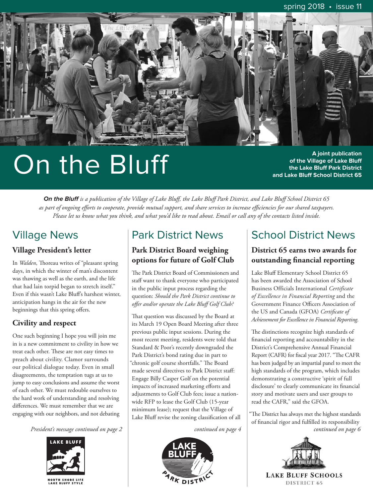<span id="page-0-0"></span>

# On the Bluff

**A joint publication of the Village of Lake Bluff the Lake Bluff Park District and Lake Bluff School District 65**

**On the Bluff** *is a publication of the Village of Lake Bluff, the Lake Bluff Park District, and Lake Bluff School District 65 as part of ongoing efforts to cooperate, provide mutual support, and share services to increase efficiencies for our shared taxpayers. Please let us know what you think, and what you'd like to read about. Email or call any of the contacts listed inside.*

# Village News

### **Village President's letter**

In *Walden*, Thoreau writes of "pleasant spring days, in which the winter of man's discontent was thawing as well as the earth, and the life that had lain torpid began to stretch itself." Even if this wasn't Lake Bluff's harshest winter, anticipation hangs in the air for the new beginnings that this spring offers.

### **Civility and respect**

One such beginning I hope you will join me in is a new commitment to civility in how we treat each other. These are not easy times to preach about civility. Clamor surrounds our political dialogue today. Even in small disagreements, the temptation tugs at us to jump to easy conclusions and assume the worst of each other. We must redouble ourselves to the hard work of understanding and resolving differences. We must remember that we are engaging with our neighbors, and not debating



# Park District News

### **Park District Board weighing options for future of Golf Club**

The Park District Board of Commissioners and staff want to thank everyone who participated in the public input process regarding the question: *Should the Park District continue to offer and/or operate the Lake Bluff Golf Club?* 

That question was discussed by the Board at its March 19 Open Board Meeting after three previous public input sessions. During the most recent meeting, residents were told that Standard & Poor's recently downgraded the Park District's bond rating due in part to "chronic golf course shortfalls." The Board made several directives to Park District staff: Engage Billy Casper Golf on the potential impacts of increased marketing efforts and adjustments to Golf Club fees; issue a nationwide RFP to lease the Golf Club (15-year minimum lease); request that the Village of Lake Bluff revise the zoning classification of all



# School District News

### **District 65 earns two awards for outstanding financial reporting**

Lake Bluff Elementary School District 65 has been awarded the Association of School Business Officials International *Certificate of Excellence in Financial Reporting* and the Government Finance Officers Association of the US and Canada (GFOA) *Certificate of Achievement for Excellence in Financial Reporting*.

The distinctions recognize high standards of financial reporting and accountability in the District's Comprehensive Annual Financial Report (CAFR) for fiscal year 2017. "The CAFR has been judged by an impartial panel to meet the high standards of the program, which includes demonstrating a constructive 'spirit of full disclosure' to clearly communicate its financial story and motivate users and user groups to read the CAFR," said the GFOA.

"The District has always met the highest standards of financial rigor and fulfilled its responsibility *[President's message continued on](#page-1-0) page 2 [continued on page 4](#page-3-0) [continued on page 6](#page-5-0)*

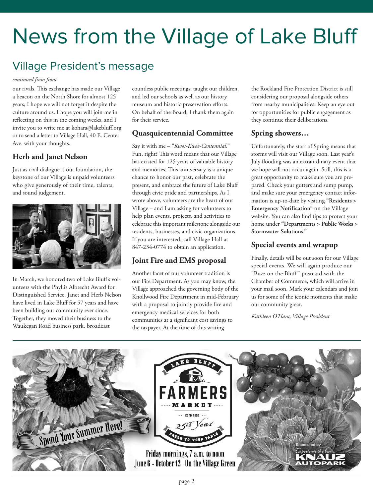# <span id="page-1-0"></span>News from the Village of Lake Bluff

### Village President's message

### *[continued from front](#page-0-0)*

our rivals. This exchange has made our Village a beacon on the North Shore for almost 125 years; I hope we will not forget it despite the culture around us. I hope you will join me in reflecting on this in the coming weeks, and I invite you to write me at [kohara@lakebluff.org](mailto:kohara@lakebluff.org) or to send a letter to Village Hall, 40 E. Center Ave. with your thoughts.

### **Herb and Janet Nelson**

Just as civil dialogue is our foundation, the keystone of our Village is unpaid volunteers who give generously of their time, talents, and sound judgement.



In March, we honored two of Lake Bluff's volunteers with the Phyllis Albrecht Award for Distinguished Service. Janet and Herb Nelson have lived in Lake Bluff for 57 years and have been building our community ever since. Together, they moved their business to the Waukegan Road business park, broadcast

countless public meetings, taught our children, and led our schools as well as our history museum and historic preservation efforts. On behalf of the Board, I thank them again for their service.

### **Quasquicentennial Committee**

Say it with me – "*Kwos-Kwee-Centennial.*" Fun, right? This word means that our Village has existed for 125 years of valuable history and memories. This anniversary is a unique chance to honor our past, celebrate the present, and embrace the future of Lake Bluff through civic pride and partnerships. As I wrote above, volunteers are the heart of our Village – and I am asking for volunteers to help plan events, projects, and activities to celebrate this important milestone alongside our residents, businesses, and civic organizations. If you are interested, call Village Hall at 847-234-0774 to obtain an application.

### **Joint Fire and EMS proposal**

Another facet of our volunteer tradition is our Fire Department. As you may know, the Village approached the governing body of the Knollwood Fire Department in mid-February with a proposal to jointly provide fire and emergency medical services for both communities at a significant cost savings to the taxpayer. At the time of this writing,

the Rockland Fire Protection District is still considering our proposal alongside others from nearby municipalities. Keep an eye out for opportunities for public engagement as they continue their deliberations.

### **Spring showers…**

Unfortunately, the start of Spring means that storms will visit our Village soon. Last year's July flooding was an extraordinary event that we hope will not occur again. Still, this is a great opportunity to make sure you are prepared. Check your gutters and sump pump, and make sure your emergency contact infor[mation is up-to-date by visiting](https://www.lakebluff.org/residents/emergency-notification) **"Residents > Emergency Notification"** on the Village website. You can also find tips to protect your home under **["Departments > Public Works >](https://www.lakebluff.org/residents/stormwater-solutions) Stormwater Solutions."**

### **Special events and wrapup**

Finally, details will be out soon for our Village special events. We will again produce our "Buzz on the Bluff" postcard with the Chamber of Commerce, which will arrive in your mail soon. Mark your calendars and join us for some of the iconic moments that make our community great.

*Kathleen O'Hara, Village President*

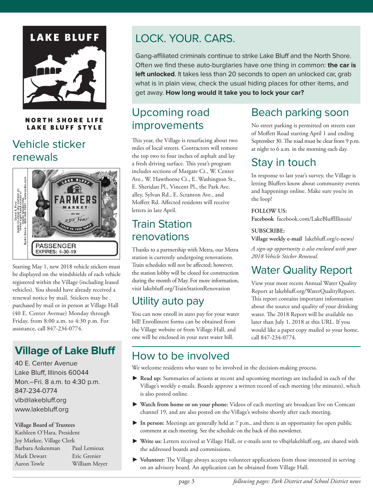# <span id="page-2-0"></span>**LAKE BLUFF**

### **NORTH SHORE LIFE LAKE BLUFF STYLE**

# Vehicle sticker renewals



Starting May 1, new 2018 vehicle stickers must be displayed on the windshields of each vehicle registered within the Village (including leased vehicles). You should have already received a renewal notice by mail. Stickers may be purchased by mail or in person at Village Hall (40 E. Center Avenue) Monday through Friday, from 8:00 a.m. to 4:30 p.m. For assistance, call 847-234-0774.

# **Village of Lake Bluff**

40 E. Center Avenue Lake Bluff, Illinois 60044 Mon.–Fri. 8 a.m. to 4:30 p.m. 847-234-0774 [vlb@lakebluff.org](mailto:vlb@lakebluff.org) [www.lakebluff.org](https://www.lakebluff.org)

**Village Board of Trustees**

Kathleen O'Hara, President Joy Markee, Village Clerk Barbara Ankenman Paul Lemieux Mark Dewart Eric Grenier Aaron Towle William Meyer

# LOCK. YOUR. CARS.

Gang-affiliated criminals continue to strike Lake Bluff and the North Shore. Often we find these auto-burglaries have one thing in common: **the car is left unlocked**. It takes less than 20 seconds to open an unlocked car, grab what is in plain view, check the usual hiding places for other items, and get away. **How long would it take you to lock your car?**

### Upcoming road improvements

This year, the Village is resurfacing about two miles of local streets. Contractors will remove the top two to four inches of asphalt and lay a fresh driving surface. This year's program includes sections of Margate Ct., W. Center Ave., W. Hawthorne Ct., E. Washington St., E. Sheridan Pl., Vincent Pl., the Park Ave. alley, Sylvan Rd., E. Scranton Ave., and Moffett Rd. Affected residents will receive letters in late April.

## Train Station renovations

Thanks to a partnership with Metra, our Metra station is currently undergoing renovations. Train schedules will not be affected; however, the station lobby will be closed for construction during the month of May. For more information, visit [lakebluff.org/TrainStationRenovation](https://www.lakebluff.org/TrainStationRenovation)

# Utility auto pay

You can now enroll in auto pay for your water bill! Enrollment forms can be obtained from the Village website or from Village Hall, and one will be enclosed in your next water bill.

# Beach parking soon

No street parking is permitted on streets east of Moffett Road starting April 1 and ending September 30. The road must be clear from 9 p.m. at night to 6 a.m. in the morning each day.

## Stay in touch

In response to last year's survey, the Village is letting Bluffers know about community events and happenings online. Make sure you're in the loop!

### **FOLLOW US:**

**Facebook** [facebook.com/LakeBluffIllinois/](https://www.facebook.com/LakeBluffIllinois/)

### **SUBSCRIBE:**

**Village weekly e-mail** [lakebluff.org/e-news/](https://www.lakebluff.org/e-news/)

*A sign-up opportunity is also enclosed with your 2018 Vehicle Sticker Renewal.*

# Water Quality Report

View your most recent Annual Water Quality Report at [lakebluff.org/WaterQualityReport.](https://www.lakebluff.org/WaterQualityReport.) This report contains important information about the source and quality of your drinking water. The 2018 Report will be available no later than July 1, 2018 at this URL. If you would like a paper copy mailed to your home, call 847-234-0774.

# How to be involved

We welcome residents who want to be involved in the decision-making process.

- \$ **Read up:** Summaries of actions at recent and upcoming meetings are included in each of the Village's weekly e-mails. Boards approve a written record of each meeting (the minutes), which is also posted online.
- \$ **Watch from home or on your phone:** Videos of each meeting are broadcast live on Comcast channel 19, and are also posted on the [Village's](https://www.lakebluff.org/) website shortly after each meeting.
- \$ **In person:** Meetings are generally held at 7 p.m., and there is an opportunity for open public comment at each meeting. See the schedule on the back of this [newsletter.](#page-7-0)
- \$ **Write us:** Letters received at Village Hall, or e-mails sent to [vlb@lakebluff.org,](mailto:vlb@lakebluff.org) are shared with the addressed boards and commissions.
- $\blacktriangleright$  Volunteer: The Village always accepts volunteer applications from those interested in serving on an advisory board. An application can be obtained from Village Hall.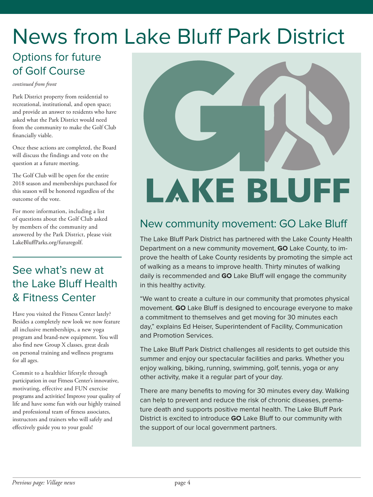# <span id="page-3-0"></span>News from Lake Bluff Park District

## Options for future of Golf Course

*continued from front*

Park District property from residential to recreational, institutional, and open space; and provide an answer to residents who have asked what the Park District would need from the community to make the Golf Club financially viable.

Once these actions are completed, the Board will discuss the findings and vote on the question at a future meeting.

The Golf Club will be open for the entire 2018 season and memberships purchased for this season will be honored regardless of the outcome of the vote.

For more information, including a list of questions about the Golf Club asked by members of the community and answered by the Park District, please visit [LakeBluffParks.org/futuregolf.](http://www.lakebluffparks.org/futuregolf)

# See what's new at the Lake Bluff Health & Fitness Center

Have you visited the Fitness Center lately? Besides a completely new look we now feature all inclusive memberships, a new yoga program and brand-new equipment. You will also find new Group X classes, great deals on personal training and wellness programs for all ages.

Commit to a healthier lifestyle through participation in our Fitness Center's innovative, motivating, effective and FUN exercise programs and activities! Improve your quality of life and have some fun with our highly trained and professional team of fitness associates, instructors and trainers who will safely and effectively guide you to your goals!



# New community movement: GO Lake Bluff

The Lake Bluff Park District has partnered with the Lake County Health Department on a new community movement, **GO** Lake County, to improve the health of Lake County residents by promoting the simple act of walking as a means to improve health. Thirty minutes of walking daily is recommended and **GO** Lake Bluff will engage the community in this healthy activity.

"We want to create a culture in our community that promotes physical movement. **GO** Lake Bluff is designed to encourage everyone to make a commitment to themselves and get moving for 30 minutes each day," explains Ed Heiser, Superintendent of Facility, Communication and Promotion Services.

The Lake Bluff Park District challenges all residents to get outside this summer and enjoy our spectacular facilities and parks. Whether you enjoy walking, biking, running, swimming, golf, tennis, yoga or any other activity, make it a regular part of your day.

There are many benefits to moving for 30 minutes every day. Walking can help to prevent and reduce the risk of chronic diseases, premature death and supports positive mental health. The Lake Bluff Park District is excited to introduce **GO** Lake Bluff to our community with the support of our local government partners.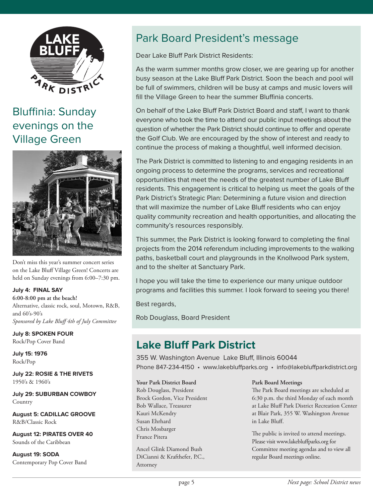

# Bluffinia: Sunday evenings on the Village Green



Don't miss this year's summer concert series on the Lake Bluff Village Green! Concerts are held on Sunday evenings from 6:00–7:30 pm.

### **July 4: FINAL SAY**

**6:00-8:00 pm at the beach!** Alternative, classic rock, soul, Motown, R&B, and 60's-90's *Sponsored by Lake Bluff 4th of July Committee*

**July 8: SPOKEN FOUR** Rock/Pop Cover Band

**July 15: 1976** Rock/Pop

**July 22: ROSIE & THE RIVETS** 1950's & 1960's

**July 29: SUBURBAN COWBOY Country** 

**August 5: CADILLAC GROOVE** R&B/Classic Rock

**August 12: PIRATES OVER 40** Sounds of the Caribbean

**August 19: SODA** Contemporary Pop Cover Band

# Park Board President's message

Dear Lake Bluff Park District Residents:

As the warm summer months grow closer, we are gearing up for another busy season at the Lake Bluff Park District. Soon the beach and pool will be full of swimmers, children will be busy at camps and music lovers will fill the Village Green to hear the summer Bluffinia concerts.

On behalf of the Lake Bluff Park District Board and staff, I want to thank everyone who took the time to attend our public input meetings about the question of whether the Park District should continue to offer and operate the Golf Club. We are encouraged by the show of interest and ready to continue the process of making a thoughtful, well informed decision.

The Park District is committed to listening to and engaging residents in an ongoing process to determine the programs, services and recreational opportunities that meet the needs of the greatest number of Lake Bluff residents. This engagement is critical to helping us meet the goals of the Park District's Strategic Plan: Determining a future vision and direction that will maximize the number of Lake Bluff residents who can enjoy quality community recreation and health opportunities, and allocating the community's resources responsibly.

This summer, the Park District is looking forward to completing the final projects from the 2014 referendum including improvements to the walking paths, basketball court and playgrounds in the Knollwood Park system, and to the shelter at Sanctuary Park.

I hope you will take the time to experience our many unique outdoor programs and facilities this summer. I look forward to seeing you there!

Best regards,

Rob Douglass, Board President

# **Lake Bluff Park District**

355 W. Washington Avenue Lake Bluff, Illinois 60044 Phone 847-234-4150 • [www.lakebluffparks.org](http://www.lakebluffparks.org) • [info@lakebluffparkdistrict.org](mailto:info@lakebluffparkdistrict.org)

### **Your Park District Board**

Rob Douglass, President Brock Gordon, Vice President Bob Wallace, Treasurer Kauri McKendry Susan Ehrhard Chris Mosbarger France Pitera

Ancel Glink Diamond Bush DiCianni & Krafthefer, P.C., Attorney

### **Park Board Meetings**

The Park Board meetings are scheduled at 6:30 p.m. the third Monday of each month at Lake Bluff Park District Recreation Center at Blair Park, 355 W. Washington Avenue in Lake Bluff.

The public is invited to attend meetings. Please visit [www.lakebluffparks.org f](http://www.lakebluffparks.org)or Committee meeting agendas and to view all regular Board meetings online.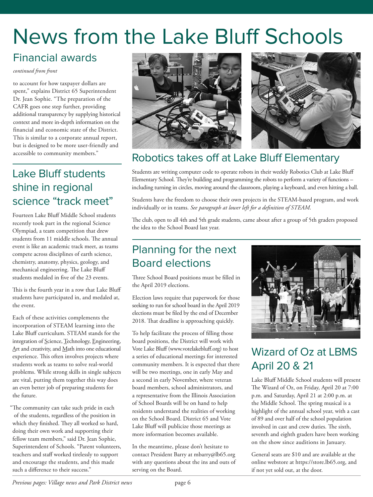# <span id="page-5-0"></span>News from the Lake Bluff Schools

# Financial awards

### *continued from front*

to account for how taxpayer dollars are spent," explains District 65 Superintendent Dr. Jean Sophie. "The preparation of the CAFR goes one step further, providing additional transparency by supplying historical context and more in-depth information on the financial and economic state of the District. This is similar to a corporate annual report, but is designed to be more user-friendly and accessible to community members."

# Lake Bluff students shine in regional science "track meet"

Fourteen Lake Bluff Middle School students recently took part in the regional Science Olympiad, a team competition that drew students from 11 middle schools. The annual event is like an academic track meet, as teams compete across disciplines of earth science, chemistry, anatomy, physics, geology, and mechanical engineering. The Lake Bluff students medaled in five of the 23 events.

This is the fourth year in a row that Lake Bluff students have participated in, and medaled at, the event.

Each of these activities complements the incorporation of STEAM learning into the Lake Bluff curriculum. STEAM stands for the integration of Science, Technology, Engineering, Art and creativity, and Math into one educational experience. This often involves projects where students work as teams to solve real-world problems. While strong skills in single subjects are vital, putting them together this way does an even better job of preparing students for the future.

"The community can take such pride in each of the students, regardless of the position in which they finished. They all worked so hard, doing their own work and supporting their fellow team members," said Dr. Jean Sophie, Superintendent of Schools. "Parent volunteers, teachers and staff worked tirelessly to support and encourage the students, and this made such a difference to their success."



# Robotics takes off at Lake Bluff Elementary

Students are writing computer code to operate robots in their weekly Robotics Club at Lake Bluff Elementary School. They're building and programming the robots to perform a variety of functions – including turning in circles, moving around the classroom, playing a keyboard, and even hitting a ball.

Students have the freedom to choose their own projects in the STEAM-based program, and work individually or in teams. *See paragraph at lower left for a definition of STEAM.*

The club, open to all 4th and 5th grade students, came about after a group of 5th graders proposed the idea to the School Board last year.

# Planning for the next Board elections

Three School Board positions must be filled in the April 2019 elections.

Election laws require that paperwork for those seeking to run for school board in the April 2019 elections must be filed by the end of December 2018. That deadline is approaching quickly.

To help facilitate the process of filling those board positions, the District will work with Vote Lake Bluff [\(www.votelakebluff.org\)](http://www.votelakebluff.org) to host a series of educational meetings for interested community members. It is expected that there will be two meetings, one in early May and a second in early November, where veteran board members, school administrators, and a representative from the Illinois Association of School Boards will be on hand to help residents understand the realities of working on the School Board. District 65 and Vote Lake Bluff will publicize those meetings as more information becomes available.

In the meantime, please don't hesitate to contact President Barry at [mbarry@lb65.org](mailto:mbarry@lb65.org) with any questions about the ins and outs of serving on the Board.



# Wizard of Oz at LBMS April 20 & 21

Lake Bluff Middle School students will present The Wizard of Oz, on Friday, April 20 at 7:00 p.m. and Saturday, April 21 at 2:00 p.m. at the Middle School. The spring musical is a highlight of the annual school year, with a cast of 89 and over half of the school population involved in cast and crew duties. The sixth, seventh and eighth graders have been working on the show since auditions in January.

General seats are \$10 and are available at the online webstore at [https://store.lb65.org,](https://store.lb65.org) and if not yet sold out, at the door.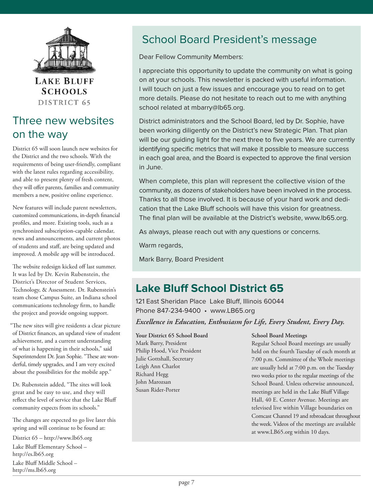

**LAKE BLUFF SCHOOLS** DISTRICT 65

# Three new websites on the way

District 65 will soon launch new websites for the District and the two schools. With the requirements of being user-friendly, compliant with the latest rules regarding accessibility, and able to present plenty of fresh content, they will offer parents, families and community members a new, positive online experience.

New features will include parent newsletters, customized communications, in-depth financial profiles, and more. Existing tools, such as a synchronized subscription-capable calendar, news and announcements, and current photos of students and staff, are being updated and improved. A mobile app will be introduced.

The website redesign kicked off last summer. It was led by Dr. Kevin Rubenstein, the District's Director of Student Services, Technology, & Assessment. Dr. Rubenstein's team chose Campus Suite, an Indiana school communications technology firm, to handle the project and provide ongoing support.

"The new sites will give residents a clear picture of District finances, an updated view of student achievement, and a current understanding of what is happening in their schools," said Superintendent Dr. Jean Sophie. "These are wonderful, timely upgrades, and I am very excited about the possibilities for the mobile app."

Dr. Rubenstein added, "The sites will look great and be easy to use, and they will reflect the level of service that the Lake Bluff community expects from its schools."

The changes are expected to go live later this spring and will continue to be found at:

[District 65 – http://www.lb65.org](http://www.lb65.org) [Lake Bluff Elementary School –](http://es.lb65.org) http://es.lb65.org [Lake Bluff Middle School –](http://ms.lb65.org) http://ms.lb65.org

# School Board President's message

Dear Fellow Community Members:

I appreciate this opportunity to update the community on what is going on at your schools. This newsletter is packed with useful information. I will touch on just a few issues and encourage you to read on to get more details. Please do not hesitate to reach out to me with anything school related at [mbarry@lb65.org.](mailto:mbarry@lb65.org)

District administrators and the School Board, led by Dr. Sophie, have been working diligently on the District's new Strategic Plan. That plan will be our guiding light for the next three to five years. We are currently identifying specific metrics that will make it possible to measure success in each goal area, and the Board is expected to approve the final version in June.

When complete, this plan will represent the collective vision of the community, as dozens of stakeholders have been involved in the process. Thanks to all those involved. It is because of your hard work and dedication that the Lake Bluff schools will have this vision for greatness. The final plan will be available at the District's website, [www.lb65.org.](http://www.lb65.org) 

As always, please reach out with any questions or concerns.

Warm regards,

Mark Barry, Board President

# **Lake Bluff School District 65**

121 East Sheridan Place Lake Bluff, Illinois 60044 Phone 847-234-9400 • www.LB65.org

*Excellence in Education, Enthusiasm for Life, Every Student, Every Day.*

**Your District 65 School Board**

Mark Barry, President Philip Hood, Vice President Julie Gottshall, Secretary Leigh Ann Charlot Richard Hegg John Marozsan Susan Rider-Porter

### **School Board Meetings**

Regular School Board meetings are usually held on the fourth Tuesday of each month at 7:00 p.m. Committee of the Whole meetings are usually held at 7:00 p.m. on the Tuesday two weeks prior to the regular meetings of the School Board. Unless otherwise announced, meetings are held in the Lake Bluff Village Hall, 40 E. Center Avenue. Meetings are televised live within Village boundaries on Comcast Channel 19 and rebroadcast throughout the week. Videos of the meetings are available at [www.LB65.org w](http://www.lb65.org)ithin 10 days.